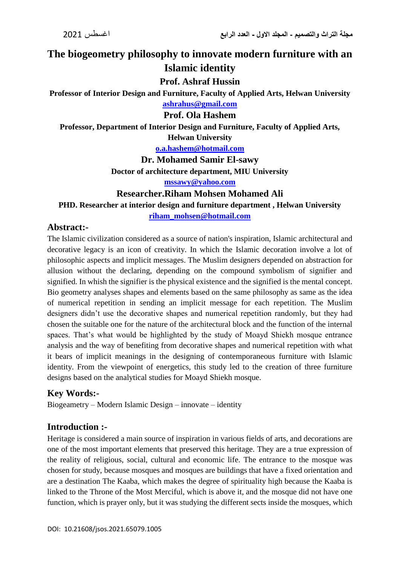**The biogeometry philosophy to innovate modern furniture with an Islamic identity**

**Prof. Ashraf Hussin**

**Professor of Interior Design and Furniture, Faculty of Applied Arts, Helwan University**

**[ashrahus@gmail.com](mailto:ashrahus@gmail.com)**

**Prof. Ola Hashem**

**Professor, Department of Interior Design and Furniture, Faculty of Applied Arts, Helwan University**

**[o.a.hashem@hotmail.com](mailto:o.a.hashem@hotmail.com)**

**Dr. Mohamed Samir El-sawy**

**Doctor of architecture department, MIU University**

**[mssawy@yahoo.com](mailto:mssawy@yahoo.com)**

**Researcher.Riham Mohsen Mohamed Ali**

**PHD. Researcher at interior design and furniture department , Helwan University**

**riham\_mohsen@hotmail.com**

## **Abstract:-**

The Islamic civilization considered as a source of nation's inspiration, Islamic architectural and decorative legacy is an icon of creativity. In which the Islamic decoration involve a lot of philosophic aspects and implicit messages. The Muslim designers depended on abstraction for allusion without the declaring, depending on the compound symbolism of signifier and signified. In whish the signifier is the physical existence and the signified is the mental concept. Bio geometry analyses shapes and elements based on the same philosophy as same as the idea of numerical repetition in sending an implicit message for each repetition. The Muslim designers didn't use the decorative shapes and numerical repetition randomly, but they had chosen the suitable one for the nature of the architectural block and the function of the internal spaces. That's what would be highlighted by the study of Moayd Shiekh mosque entrance analysis and the way of benefiting from decorative shapes and numerical repetition with what it bears of implicit meanings in the designing of contemporaneous furniture with Islamic identity. From the viewpoint of energetics, this study led to the creation of three furniture designs based on the analytical studies for Moayd Shiekh mosque.

# **Key Words:-**

Biogeametry – Modern Islamic Design – innovate – identity

### **Introduction :-**

Heritage is considered a main source of inspiration in various fields of arts, and decorations are one of the most important elements that preserved this heritage. They are a true expression of the reality of religious, social, cultural and economic life. The entrance to the mosque was chosen for study, because mosques and mosques are buildings that have a fixed orientation and are a destination The Kaaba, which makes the degree of spirituality high because the Kaaba is linked to the Throne of the Most Merciful, which is above it, and the mosque did not have one function, which is prayer only, but it was studying the different sects inside the mosques, which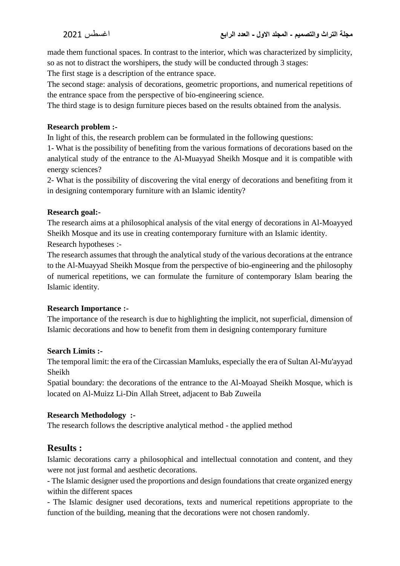made them functional spaces. In contrast to the interior, which was characterized by simplicity, so as not to distract the worshipers, the study will be conducted through 3 stages:

The first stage is a description of the entrance space.

The second stage: analysis of decorations, geometric proportions, and numerical repetitions of the entrance space from the perspective of bio-engineering science.

The third stage is to design furniture pieces based on the results obtained from the analysis.

#### **Research problem :-**

In light of this, the research problem can be formulated in the following questions:

1- What is the possibility of benefiting from the various formations of decorations based on the analytical study of the entrance to the Al-Muayyad Sheikh Mosque and it is compatible with energy sciences?

2- What is the possibility of discovering the vital energy of decorations and benefiting from it in designing contemporary furniture with an Islamic identity?

#### **Research goal:-**

The research aims at a philosophical analysis of the vital energy of decorations in Al-Moayyed Sheikh Mosque and its use in creating contemporary furniture with an Islamic identity. Research hypotheses :-

The research assumes that through the analytical study of the various decorations at the entrance to the Al-Muayyad Sheikh Mosque from the perspective of bio-engineering and the philosophy of numerical repetitions, we can formulate the furniture of contemporary Islam bearing the Islamic identity.

#### **Research Importance :-**

The importance of the research is due to highlighting the implicit, not superficial, dimension of Islamic decorations and how to benefit from them in designing contemporary furniture

#### **Search Limits :-**

The temporal limit: the era of the Circassian Mamluks, especially the era of Sultan Al-Mu'ayyad Sheikh

Spatial boundary: the decorations of the entrance to the Al-Moayad Sheikh Mosque, which is located on Al-Muizz Li-Din Allah Street, adjacent to Bab Zuweila

### **Research Methodology :-**

The research follows the descriptive analytical method - the applied method

# **Results :**

Islamic decorations carry a philosophical and intellectual connotation and content, and they were not just formal and aesthetic decorations.

- The Islamic designer used the proportions and design foundations that create organized energy within the different spaces

- The Islamic designer used decorations, texts and numerical repetitions appropriate to the function of the building, meaning that the decorations were not chosen randomly.